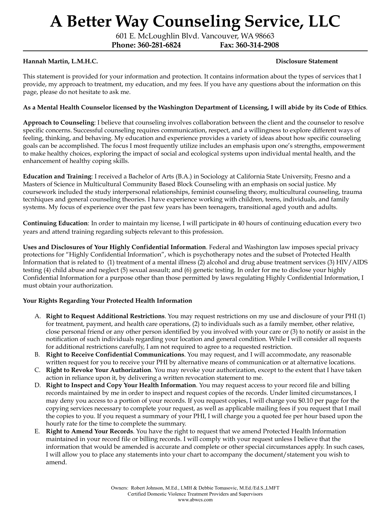601 E. McLoughlin Blvd. Vancouver, WA 98663

**Phone: 360-281-6824 Fax: 360-314-2908**

#### **Hannah Martin, L.M.H.C. Disclosure Statement**

This statement is provided for your information and protection. It contains information about the types of services that I provide, my approach to treatment, my education, and my fees. If you have any questions about the information on this page, please do not hesitate to ask me.

#### As a Mental Health Counselor licensed by the Washington Department of Licensing, I will abide by its Code of Ethics.

**Approach to Counseling**: I believe that counseling involves collaboration between the client and the counselor to resolve specific concerns. Successful counseling requires communication, respect, and a willingness to explore different ways of feeling, thinking, and behaving. My education and experience provides a variety of ideas about how specific counseling goals can be accomplished. The focus I most frequently utilize includes an emphasis upon one's strengths, empowerment to make healthy choices, exploring the impact of social and ecological systems upon individual mental health, and the enhancement of healthy coping skills.

**Education and Training**: I received a Bachelor of Arts (B.A.) in Sociology at California State University, Fresno and a Masters of Science in Multicultural Community Based Block Counseling with an emphasis on social justice. My coursework included the study interpersonal relationships, feminist counseling theory, multicultural counseling, trauma tecnhiques and general counseling theories. I have experience working with children, teens, individuals, and family systems. My focus of experience over the past few years has been teenagers, transitional aged youth and adults.

**Continuing Education**: In order to maintain my license, I will participate in 40 hours of continuing education every two years and attend training regarding subjects relevant to this profession.

**Uses and Disclosures of Your Highly Confidential Information**. Federal and Washington law imposes special privacy protections for "Highly Confidential Information", which is psychotherapy notes and the subset of Protected Health Information that is related to (1) treatment of a mental illness (2) alcohol and drug abuse treatment services (3) HIV/AIDS testing (4) child abuse and neglect (5) sexual assault; and (6) genetic testing. In order for me to disclose your highly Confidential Information for a purpose other than those permitted by laws regulating Highly Confidential Information, I must obtain your authorization.

#### **Your Rights Regarding Your Protected Health Information**

- A. **Right to Request Additional Restrictions**. You may request restrictions on my use and disclosure of your PHI (1) for treatment, payment, and health care operations, (2) to individuals such as a family member, other relative, close personal friend or any other person identified by you involved with your care or (3) to notify or assist in the notification of such individuals regarding your location and general condition. While I will consider all requests for additional restrictions carefully, I am not required to agree to a requested restriction.
- B. **Right to Receive Confidential Communications**. You may request, and I will accommodate, any reasonable written request for you to receive your PHI by alternative means of communication or at alternative locations.
- C. **Right to Revoke Your Authorization**. You may revoke your authorization, except to the extent that I have taken action in reliance upon it, by delivering a written revocation statement to me.
- D. **Right to Inspect and Copy Your Health Information**. You may request access to your record file and billing records maintained by me in order to inspect and request copies of the records. Under limited circumstances, I may deny you access to a portion of your records. If you request copies, I will charge you \$0.10 per page for the copying services necessary to complete your request, as well as applicable mailing fees if you request that I mail the copies to you. If you request a summary of your PHI, I will charge you a quoted fee per hour based upon the hourly rate for the time to complete the summary.
- E. **Right to Amend Your Records**. You have the right to request that we amend Protected Health Information maintained in your record file or billing records. I will comply with your request unless I believe that the information that would be amended is accurate and complete or other special circumstances apply. In such cases, I will allow you to place any statements into your chart to accompany the document/statement you wish to amend.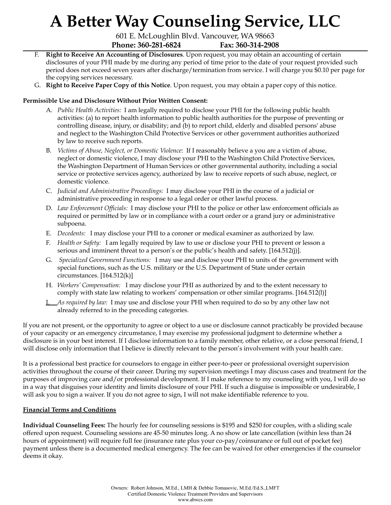601 E. McLoughlin Blvd. Vancouver, WA 98663 **Phone: 360-281-6824 Fax: 360-314-2908**

- F. **Right to Receive An Accounting of Disclosures**. Upon request, you may obtain an accounting of certain disclosures of your PHI made by me during any period of time prior to the date of your request provided such period does not exceed seven years after discharge/termination from service. I will charge you \$0.10 per page for the copying services necessary.
- G. **Right to Receive Paper Copy of this Notice**. Upon request, you may obtain a paper copy of this notice.

### **Permissible Use and Disclosure Without Prior Written Consent:**

- A. *Public Health Activities:* I am legally required to disclose your PHI for the following public health activities: (a) to report health information to public health authorities for the purpose of preventing or controlling disease, injury, or disability; and (b) to report child, elderly and disabled persons' abuse and neglect to the Washington Child Protective Services or other government authorities authorized by law to receive such reports.
- B. *Victims of Abuse, Neglect, or Domestic Violence*: If I reasonably believe a you are a victim of abuse, neglect or domestic violence, I may disclose your PHI to the Washington Child Protective Services, the Washington Department of Human Services or other governmental authority, including a social service or protective services agency, authorized by law to receive reports of such abuse, neglect, or domestic violence.
- C. *Judicial and Administrative Proceedings:* I may disclose your PHI in the course of a judicial or administrative proceeding in response to a legal order or other lawful process.
- D. *Law Enforcement Of icials:* I may disclose your PHI to the police or other law enforcement officials as required or permitted by law or in compliance with a court order or a grand jury or administrative subpoena.
- E. *Decedents:* I may disclose your PHI to a coroner or medical examiner as authorized by law.
- F. *Health or Safety:* I am legally required by law to use or disclose your PHI to prevent or lesson a serious and imminent threat to a person's or the public's health and safety. [164.512(j)].
- G. *Specialized Government Functions:* I may use and disclose your PHI to units of the government with special functions, such as the U.S. military or the U.S. Department of State under certain circumstances.  $[164.512(k)]$
- H. *Workers' Compensation:* I may disclose your PHI as authorized by and to the extent necessary to comply with state law relating to workers' compensation or other similar programs. [164.512(l)]
- I. *As required by law:* I may use and disclose your PHI when required to do so by any other law not already referred to in the preceding categories.

If you are not present, or the opportunity to agree or object to a use or disclosure cannot practicably be provided because of your capacity or an emergency circumstance, I may exercise my professional judgment to determine whether a disclosure is in your best interest. If I disclose information to a family member, other relative, or a close personal friend, I will disclose only information that I believe is directly relevant to the person's involvement with your health care.

It is a professional best practice for counselors to engage in either peer-to-peer or professional oversight supervision activities throughout the course of their career. During my supervision meetings I may discuss cases and treatment for the purposes of improving care and/or professional development. If I make reference to my counseling with you, I will do so in a way that disguises your identity and limits disclosure of your PHI. If such a disguise is impossible or undesirable, I will ask you to sign a waiver. If you do not agree to sign, I will not make identifiable reference to you.

### **Financial Terms and Conditions**

**Individual Counseling Fees:** The hourly fee for counseling sessions is \$195 and \$250 for couples, with a sliding scale offered upon request. Counseling sessions are 45-50 minutes long. A no show or late cancellation (within less than 24 hours of appointment) will require full fee (insurance rate plus your co-pay/coinsurance or full out of pocket fee) payment unless there is a documented medical emergency. The fee can be waived for other emergencies if the counselor deems it okay.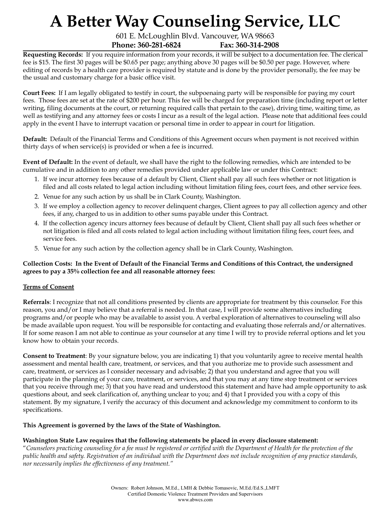601 E. McLoughlin Blvd. Vancouver, WA 98663 **Phone: 360-281-6824 Fax: 360-314-2908**

**Requesting Records:** If you require information from your records, it will be subject to a documentation fee. The clerical fee is \$15. The first 30 pages will be \$0.65 per page; anything above 30 pages will be \$0.50 per page. However, where editing of records by a health care provider is required by statute and is done by the provider personally, the fee may be the usual and customary charge for a basic office visit.

**Court Fees:** If I am legally obligated to testify in court, the subpoenaing party will be responsible for paying my court fees. Those fees are set at the rate of \$200 per hour. This fee will be charged for preparation time (including report or letter writing, filing documents at the court, or returning required calls that pertain to the case), driving time, waiting time, as well as testifying and any attorney fees or costs I incur as a result of the legal action. Please note that additional fees could apply in the event I have to interrupt vacation or personal time in order to appear in court for litigation.

**Default:** Default of the Financial Terms and Conditions of this Agreement occurs when payment is not received within thirty days of when service(s) is provided or when a fee is incurred.

**Event of Default:** In the event of default, we shall have the right to the following remedies, which are intended to be cumulative and in addition to any other remedies provided under applicable law or under this Contract:

- 1. If we incur attorney fees because of a default by Client, Client shall pay all such fees whether or not litigation is filed and all costs related to legal action including without limitation filing fees, court fees, and other service fees.
- 2. Venue for any such action by us shall be in Clark County, Washington.
- 3. If we employ a collection agency to recover delinquent charges, Client agrees to pay all collection agency and other fees, if any, charged to us in addition to other sums payable under this Contract.
- 4. If the collection agency incurs attorney fees because of default by Client, Client shall pay all such fees whether or not litigation is filed and all costs related to legal action including without limitation filing fees, court fees, and service fees.
- 5. Venue for any such action by the collection agency shall be in Clark County, Washington.

#### Collection Costs: In the Event of Default of the Financial Terms and Conditions of this Contract, the undersigned **agrees to pay a 35% collection fee and all reasonable attorney fees:**

#### **Terms of Consent**

**Referrals**: I recognize that not all conditions presented by clients are appropriate for treatment by this counselor. For this reason, you and/or I may believe that a referral is needed. In that case, I will provide some alternatives including programs and/or people who may be available to assist you. A verbal exploration of alternatives to counseling will also be made available upon request. You will be responsible for contacting and evaluating those referrals and/or alternatives. If for some reason I am not able to continue as your counselor at any time I will try to provide referral options and let you know how to obtain your records.

**Consent to Treatment**: By your signature below, you are indicating 1) that you voluntarily agree to receive mental health assessment and mental health care, treatment, or services, and that you authorize me to provide such assessment and care, treatment, or services as I consider necessary and advisable; 2) that you understand and agree that you will participate in the planning of your care, treatment, or services, and that you may at any time stop treatment or services that you receive through me; 3) that you have read and understood this statement and have had ample opportunity to ask questions about, and seek clarification of, anything unclear to you; and 4) that I provided you with a copy of this statement. By my signature, I verify the accuracy of this document and acknowledge my commitment to conform to its specifications.

#### **This Agreement is governed by the laws of the State of Washington.**

### **Washington State Law requires that the following statements be placed in every disclosure statement:**

"Counselors practicing counseling for a fee must be registered or certified with the Department of Health for the protection of the public health and safety. Registration of an individual with the Department does not include recognition of any practice standards, *nor necessarily implies the ef ectiveness of any treatment."*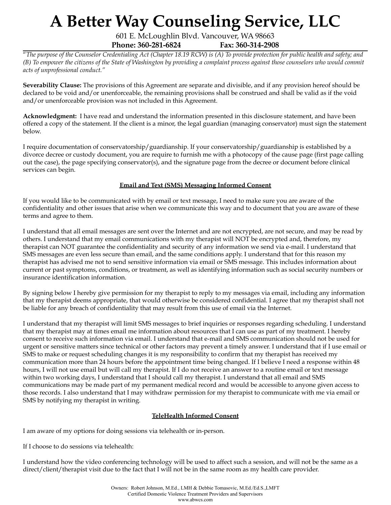601 E. McLoughlin Blvd. Vancouver, WA 98663 **Phone: 360-281-6824 Fax: 360-314-2908**

"The purpose of the Counselor Credentialing Act (Chapter 18.19 RCW) is (A) To provide protection for public health and safety; and (B) To empower the citizens of the State of Washington by providing a complaint process against those counselors who would commit *acts of unprofessional conduct."*

**Severability Clause:** The provisions of this Agreement are separate and divisible, and if any provision hereof should be declared to be void and/or unenforceable, the remaining provisions shall be construed and shall be valid as if the void and/or unenforceable provision was not included in this Agreement.

**Acknowledgment:** I have read and understand the information presented in this disclosure statement, and have been offered a copy of the statement. If the client is a minor, the legal guardian (managing conservator) must sign the statement below.

I require documentation of conservatorship/guardianship. If your conservatorship/guardianship is established by a divorce decree or custody document, you are require to furnish me with a photocopy of the cause page (first page calling out the case), the page specifying conservator(s), and the signature page from the decree or document before clinical services can begin.

### **Email and Text (SMS) Messaging Informed Consent**

If you would like to be communicated with by email or text message, I need to make sure you are aware of the confidentiality and other issues that arise when we communicate this way and to document that you are aware of these terms and agree to them.

I understand that all email messages are sent over the Internet and are not encrypted, are not secure, and may be read by others. I understand that my email communications with my therapist will NOT be encrypted and, therefore, my therapist can NOT guarantee the confidentiality and security of any information we send via e-mail. I understand that SMS messages are even less secure than email, and the same conditions apply. I understand that for this reason my therapist has advised me not to send sensitive information via email or SMS message. This includes information about current or past symptoms, conditions, or treatment, as well as identifying information such as social security numbers or insurance identification information.

By signing below I hereby give permission for my therapist to reply to my messages via email, including any information that my therapist deems appropriate, that would otherwise be considered confidential. I agree that my therapist shall not be liable for any breach of confidentiality that may result from this use of email via the Internet.

I understand that my therapist will limit SMS messages to brief inquiries or responses regarding scheduling. I understand that my therapist may at times email me information about resources that I can use as part of my treatment. I hereby consent to receive such information via email. I understand that e-mail and SMS communication should not be used for urgent or sensitive matters since technical or other factors may prevent a timely answer. I understand that if I use email or SMS to make or request scheduling changes it is my responsibility to confirm that my therapist has received my communication more than 24 hours before the appointment time being changed. If I believe I need a response within 48 hours, I will not use email but will call my therapist. If I do not receive an answer to a routine email or text message within two working days, I understand that I should call my therapist. I understand that all email and SMS communications may be made part of my permanent medical record and would be accessible to anyone given access to those records. I also understand that I may withdraw permission for my therapist to communicate with me via email or SMS by notifying my therapist in writing.

#### **TeleHealth Informed Consent**

I am aware of my options for doing sessions via telehealth or in-person.

If I choose to do sessions via telehealth:

I understand how the video conferencing technology will be used to affect such a session, and will not be the same as a direct/client/therapist visit due to the fact that I will not be in the same room as my health care provider.